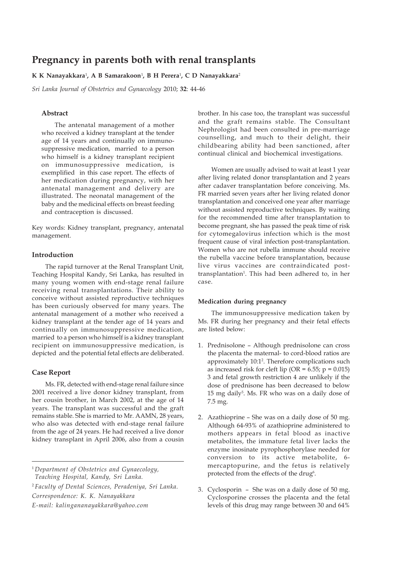# **Pregnancy in parents both with renal transplants**

## **K K Nanayakkara**<sup>1</sup> **, A B Samarakoon**<sup>1</sup> **, B H Perera**<sup>1</sup> **, C D Nanayakkara**<sup>2</sup>

*Sri Lanka Journal of Obstetrics and Gynaecology* 2010; **32**: 44-46

## **Abstract**

The antenatal management of a mother who received a kidney transplant at the tender age of 14 years and continually on immunosuppressive medication, married to a person who himself is a kidney transplant recipient on immunosuppressive medication, is exemplified in this case report. The effects of her medication during pregnancy, with her antenatal management and delivery are illustrated. The neonatal management of the baby and the medicinal effects on breast feeding and contraception is discussed.

Key words: Kidney transplant, pregnancy, antenatal management.

## **Introduction**

The rapid turnover at the Renal Transplant Unit, Teaching Hospital Kandy, Sri Lanka, has resulted in many young women with end-stage renal failure receiving renal transplantations. Their ability to conceive without assisted reproductive techniques has been curiously observed for many years. The antenatal management of a mother who received a kidney transplant at the tender age of 14 years and continually on immunosuppressive medication, married to a person who himself is a kidney transplant recipient on immunosuppressive medication, is depicted and the potential fetal effects are deliberated.

## **Case Report**

Ms. FR, detected with end-stage renal failure since 2001 received a live donor kidney transplant, from her cousin brother, in March 2002, at the age of 14 years. The transplant was successful and the graft remains stable. She is married to Mr. AAMN, 28 years, who also was detected with end-stage renal failure from the age of 24 years. He had received a live donor kidney transplant in April 2006, also from a cousin

<sup>1</sup> *Department of Obstetrics and Gynaecology,*

*Teaching Hospital, Kandy, Sri Lanka.*

<sup>2</sup> *Faculty of Dental Sciences, Peradeniya, Sri Lanka.*

*Correspondence: K. K. Nanayakkara*

*E-mail: kalingananayakkara@yahoo.com*

brother. In his case too, the transplant was successful and the graft remains stable. The Consultant Nephrologist had been consulted in pre-marriage counselling, and much to their delight, their childbearing ability had been sanctioned, after continual clinical and biochemical investigations.

Women are usually advised to wait at least 1 year after living related donor transplantation and 2 years after cadaver transplantation before conceiving. Ms. FR married seven years after her living related donor transplantation and conceived one year after marriage without assisted reproductive techniques. By waiting for the recommended time after transplantation to become pregnant, she has passed the peak time of risk for cytomegalovirus infection which is the most frequent cause of viral infection post-transplantation. Women who are not rubella immune should receive the rubella vaccine before transplantation, because live virus vaccines are contraindicated posttransplantation<sup>1</sup>. This had been adhered to, in her case.

### **Medication during pregnancy**

The immunosuppressive medication taken by Ms. FR during her pregnancy and their fetal effects are listed below:

- 1. Prednisolone Although prednisolone can cross the placenta the maternal- to cord-blood ratios are approximately 10:1<sup>2</sup>. Therefore complications such as increased risk for cleft lip  $(OR = 6.55; p = 0.015)$ 3 and fetal growth restriction 4 are unlikely if the dose of prednisone has been decreased to below 15 mg daily<sup>5</sup>. Ms. FR who was on a daily dose of 7.5 mg.
- 2. Azathioprine She was on a daily dose of 50 mg. Although 64-93% of azathioprine administered to mothers appears in fetal blood as inactive metabolites, the immature fetal liver lacks the enzyme inosinate pyrophosphorylase needed for conversion to its active metabolite, 6 mercaptopurine, and the fetus is relatively protected from the effects of the drug<sup>6</sup>.
- 3. Cyclosporin She was on a daily dose of 50 mg. Cyclosporine crosses the placenta and the fetal levels of this drug may range between 30 and 64%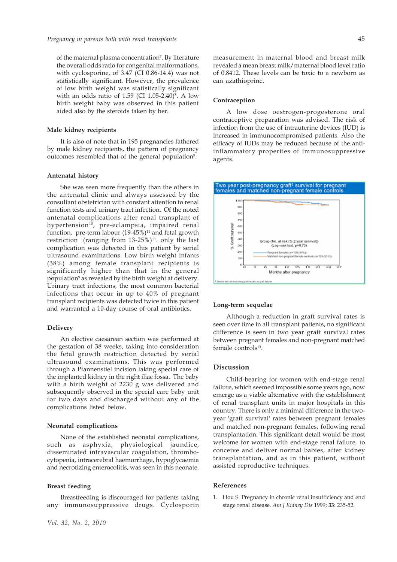of the maternal plasma concentration<sup>7</sup>. By literature the overall odds ratio for congenital malformations, with cyclosporine, of 3.47 (CI 0.86-14.4) was not statistically significant. However, the prevalence of low birth weight was statistically significant with an odds ratio of  $1.59$  (CI  $1.05$ -2.40) $^8$ . A low birth weight baby was observed in this patient aided also by the steroids taken by her.

### **Male kidney recipients**

It is also of note that in 195 pregnancies fathered by male kidney recipients, the pattern of pregnancy outcomes resembled that of the general population<sup>9</sup>.

#### **Antenatal history**

She was seen more frequently than the others in the antenatal clinic and always assessed by the consultant obstetrician with constant attention to renal function tests and urinary tract infection. Of the noted antenatal complications after renal transplant of hypertension<sup>10</sup>, pre-eclampsia, impaired renal function, pre-term labour  $(19-45\%)$ <sup>11</sup> and fetal growth restriction (ranging from  $13-25\%$ )<sup>11</sup>. only the last complication was detected in this patient by serial ultrasound examinations. Low birth weight infants (38%) among female transplant recipients is significantly higher than that in the general population<sup>9</sup> as revealed by the birth weight at delivery. Urinary tract infections, the most common bacterial infections that occur in up to 40% of pregnant transplant recipients was detected twice in this patient and warranted a 10-day course of oral antibiotics.

#### **Delivery**

An elective caesarean section was performed at the gestation of 38 weeks, taking into consideration the fetal growth restriction detected by serial ultrasound examinations. This was performed through a Pfannenstiel incision taking special care of the implanted kidney in the right iliac fossa. The baby with a birth weight of 2230 g was delivered and subsequently observed in the special care baby unit for two days and discharged without any of the complications listed below.

#### **Neonatal complications**

None of the established neonatal complications, such as asphyxia, physiological jaundice, disseminated intravascular coagulation, thrombocytopenia, intracerebral haemorrhage, hypoglycaemia and necrotizing enterocolitis, was seen in this neonate.

#### **Breast feeding**

Breastfeeding is discouraged for patients taking any immunosuppressive drugs. Cyclosporin measurement in maternal blood and breast milk revealed a mean breast milk/maternal blood level ratio of 0.8412. These levels can be toxic to a newborn as can azathioprine.

#### **Contraception**

A low dose oestrogen-progesterone oral contraceptive preparation was advised. The risk of infection from the use of intrauterine devices (IUD) is increased in immunocompromised patients. Also the efficacy of IUDs may be reduced because of the antiinflammatory properties of immunosuppressive agents.



#### **Long-term sequelae**

Although a reduction in graft survival rates is seen over time in all transplant patients, no significant difference is seen in two year graft survival rates between pregnant females and non-pregnant matched female control $s<sup>13</sup>$ .

## **Discussion**

Child-bearing for women with end-stage renal failure, which seemed impossible some years ago, now emerge as a viable alternative with the establishment of renal transplant units in major hospitals in this country. There is only a minimal difference in the twoyear 'graft survival' rates between pregnant females and matched non-pregnant females, following renal transplantation. This significant detail would be most welcome for women with end-stage renal failure, to conceive and deliver normal babies, after kidney transplantation, and as in this patient, without assisted reproductive techniques.

## **References**

1. Hou S. Pregnancy in chronic renal insufficiency and end stage renal disease. *Am J Kidney Dis* 1999; **33**: 235-52.